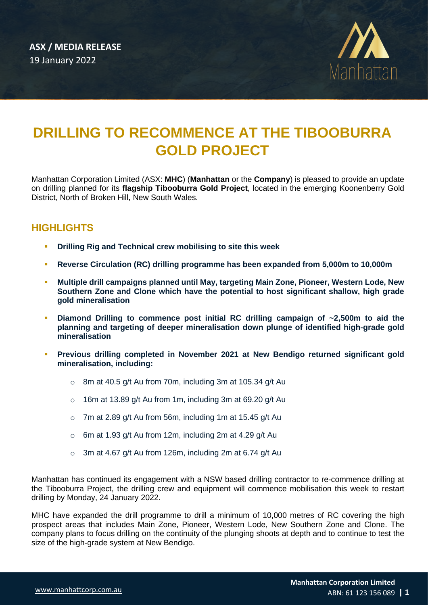

# **DRILLING TO RECOMMENCE AT THE TIBOOBURRA GOLD PROJECT**

Manhattan Corporation Limited (ASX: **MHC**) (**Manhattan** or the **Company**) is pleased to provide an update on drilling planned for its **flagship Tibooburra Gold Project**, located in the emerging Koonenberry Gold District, North of Broken Hill, New South Wales.

## **HIGHLIGHTS**

- **Drilling Rig and Technical crew mobilising to site this week**
- **Reverse Circulation (RC) drilling programme has been expanded from 5,000m to 10,000m**
- **Multiple drill campaigns planned until May, targeting Main Zone, Pioneer, Western Lode, New Southern Zone and Clone which have the potential to host significant shallow, high grade gold mineralisation**
- Diamond Drilling to commence post initial RC drilling campaign of ~2,500m to aid the **planning and targeting of deeper mineralisation down plunge of identified high-grade gold mineralisation**
- **Previous drilling completed in November 2021 at New Bendigo returned significant gold mineralisation, including:**
	- $\circ$  8m at 40.5 g/t Au from 70m, including 3m at 105.34 g/t Au
	- $\circ$  16m at 13.89 g/t Au from 1m, including 3m at 69.20 g/t Au
	- $\circ$  7m at 2.89 g/t Au from 56m, including 1m at 15.45 g/t Au
	- $\circ$  6m at 1.93 g/t Au from 12m, including 2m at 4.29 g/t Au
	- $\circ$  3m at 4.67 g/t Au from 126m, including 2m at 6.74 g/t Au

Manhattan has continued its engagement with a NSW based drilling contractor to re-commence drilling at the Tibooburra Project, the drilling crew and equipment will commence mobilisation this week to restart drilling by Monday, 24 January 2022.

MHC have expanded the drill programme to drill a minimum of 10,000 metres of RC covering the high prospect areas that includes Main Zone, Pioneer, Western Lode, New Southern Zone and Clone. The company plans to focus drilling on the continuity of the plunging shoots at depth and to continue to test the size of the high-grade system at New Bendigo.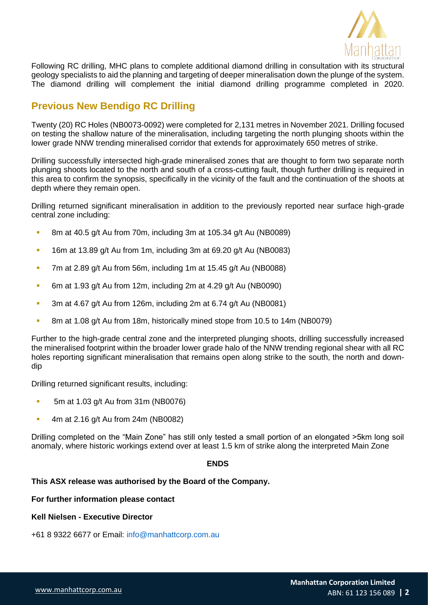

Following RC drilling, MHC plans to complete additional diamond drilling in consultation with its structural geology specialists to aid the planning and targeting of deeper mineralisation down the plunge of the system. The diamond drilling will complement the initial diamond drilling programme completed in 2020.

### **Previous New Bendigo RC Drilling**

Twenty (20) RC Holes (NB0073-0092) were completed for 2,131 metres in November 2021. Drilling focused on testing the shallow nature of the mineralisation, including targeting the north plunging shoots within the lower grade NNW trending mineralised corridor that extends for approximately 650 metres of strike.

Drilling successfully intersected high-grade mineralised zones that are thought to form two separate north plunging shoots located to the north and south of a cross-cutting fault, though further drilling is required in this area to confirm the synopsis, specifically in the vicinity of the fault and the continuation of the shoots at depth where they remain open.

Drilling returned significant mineralisation in addition to the previously reported near surface high-grade central zone including:

- 8m at 40.5 g/t Au from 70m, including 3m at 105.34 g/t Au (NB0089)
- 16m at 13.89 g/t Au from 1m, including 3m at 69.20 g/t Au (NB0083)
- $\blacksquare$  7m at 2.89 g/t Au from 56m, including 1m at 15.45 g/t Au (NB0088)
- 6m at 1.93 g/t Au from 12m, including 2m at 4.29 g/t Au (NB0090)
- **E** 3m at 4.67 g/t Au from 126m, including 2m at 6.74 g/t Au (NB0081)
- 8m at 1.08 g/t Au from 18m, historically mined stope from 10.5 to 14m (NB0079)

Further to the high-grade central zone and the interpreted plunging shoots, drilling successfully increased the mineralised footprint within the broader lower grade halo of the NNW trending regional shear with all RC holes reporting significant mineralisation that remains open along strike to the south, the north and downdip

Drilling returned significant results, including:

- 5m at 1.03 g/t Au from 31m (NB0076)
- 4m at 2.16 g/t Au from 24m (NB0082)

Drilling completed on the "Main Zone" has still only tested a small portion of an elongated >5km long soil anomaly, where historic workings extend over at least 1.5 km of strike along the interpreted Main Zone

#### **ENDS**

#### **This ASX release was authorised by the Board of the Company.**

**For further information please contact**

#### **Kell Nielsen - Executive Director**

+61 8 9322 6677 or Email: info@manhattcorp.com.au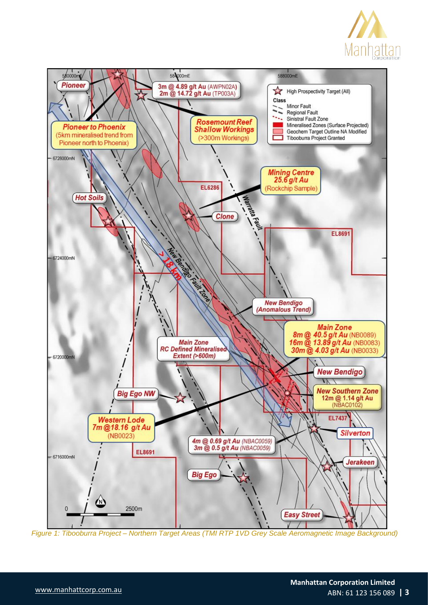



*Figure 1: Tibooburra Project – Northern Target Areas (TMI RTP 1VD Grey Scale Aeromagnetic Image Background)*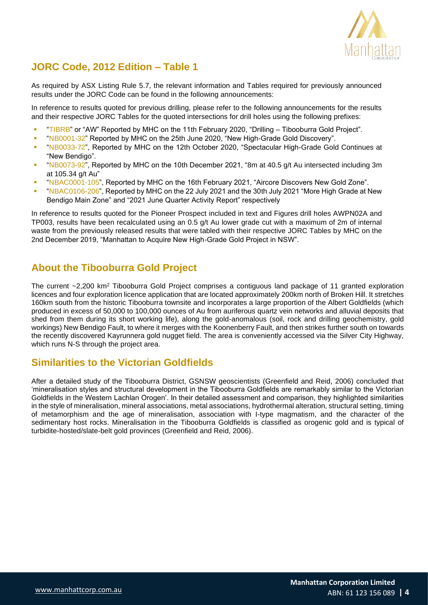

### **JORC Code, 2012 Edition – Table 1**

As required by ASX Listing Rule 5.7, the relevant information and Tables required for previously announced results under the JORC Code can be found in the following announcements:

In reference to results quoted for previous drilling, please refer to the following announcements for the results and their respective JORC Tables for the quoted intersections for drill holes using the following prefixes:

- "TIBRB" or "AW" Reported by MHC on the 11th February 2020, "Drilling Tibooburra Gold Project".
- "NB0001-32" Reported by MHC on the 25th June 2020, "New High-Grade Gold Discovery".
- "NB0033-72", Reported by MHC on the 12th October 2020, "Spectacular High-Grade Gold Continues at "New Bendigo".
- "NB0073-92", Reported by MHC on the 10th December 2021, "8m at 40.5 g/t Au intersected including 3m at 105.34 g/t Au"
- "NBAC0001-105", Reported by MHC on the 16th February 2021, "Aircore Discovers New Gold Zone".
- "NBAC0106-206", Reported by MHC on the 22 July 2021 and the 30th July 2021 "More High Grade at New Bendigo Main Zone" and "2021 June Quarter Activity Report" respectively

In reference to results quoted for the Pioneer Prospect included in text and Figures drill holes AWPN02A and TP003, results have been recalculated using an 0.5 g/t Au lower grade cut with a maximum of 2m of internal waste from the previously released results that were tabled with their respective JORC Tables by MHC on the 2nd December 2019, "Manhattan to Acquire New High-Grade Gold Project in NSW".

### **About the Tibooburra Gold Project**

The current ~2,200 km<sup>2</sup> Tibooburra Gold Project comprises a contiguous land package of 11 granted exploration licences and four exploration licence application that are located approximately 200km north of Broken Hill. It stretches 160km south from the historic Tibooburra townsite and incorporates a large proportion of the Albert Goldfields (which produced in excess of 50,000 to 100,000 ounces of Au from auriferous quartz vein networks and alluvial deposits that shed from them during its short working life), along the gold-anomalous (soil, rock and drilling geochemistry, gold workings) New Bendigo Fault, to where it merges with the Koonenberry Fault, and then strikes further south on towards the recently discovered Kayrunnera gold nugget field. The area is conveniently accessed via the Silver City Highway, which runs N-S through the project area.

### **Similarities to the Victorian Goldfields**

After a detailed study of the Tibooburra District, GSNSW geoscientists (Greenfield and Reid, 2006) concluded that 'mineralisation styles and structural development in the Tibooburra Goldfields are remarkably similar to the Victorian Goldfields in the Western Lachlan Orogen'. In their detailed assessment and comparison, they highlighted similarities in the style of mineralisation, mineral associations, metal associations, hydrothermal alteration, structural setting, timing of metamorphism and the age of mineralisation, association with I-type magmatism, and the character of the sedimentary host rocks. Mineralisation in the Tibooburra Goldfields is classified as orogenic gold and is typical of turbidite-hosted/slate-belt gold provinces (Greenfield and Reid, 2006).